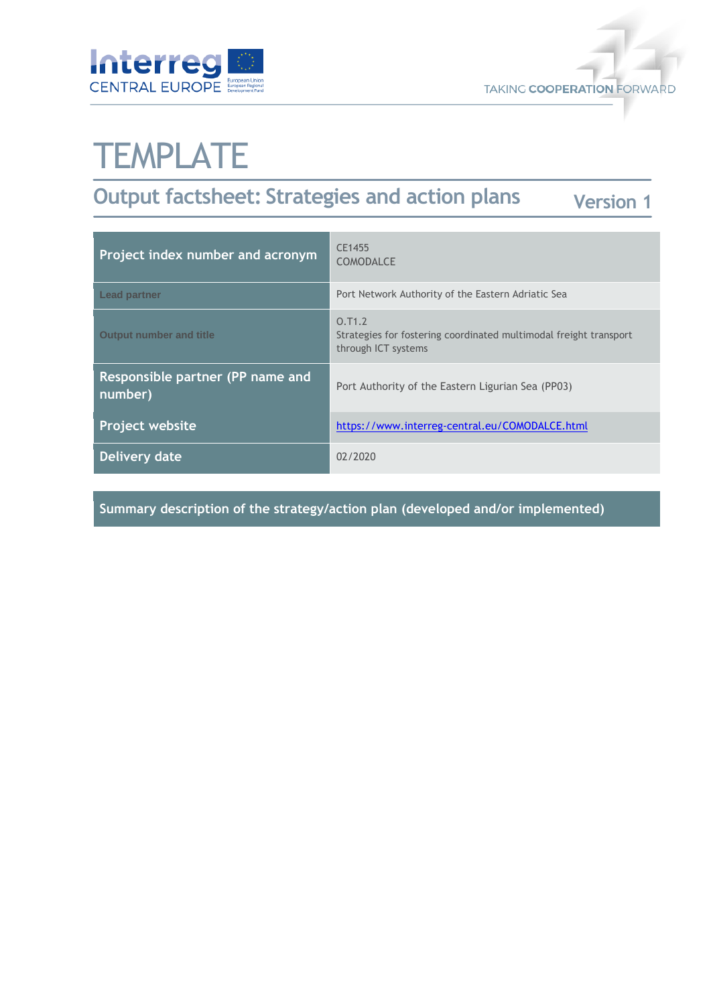



# **TEMPLATE**

#### **Output factsheet: Strategies and action plans Version 1**

| Project index number and acronym            | CE1455<br><b>COMODALCE</b>                                                                         |
|---------------------------------------------|----------------------------------------------------------------------------------------------------|
| <b>Lead partner</b>                         | Port Network Authority of the Eastern Adriatic Sea                                                 |
| <b>Output number and title</b>              | 0.71.2<br>Strategies for fostering coordinated multimodal freight transport<br>through ICT systems |
| Responsible partner (PP name and<br>number) | Port Authority of the Eastern Ligurian Sea (PP03)                                                  |
| <b>Project website</b>                      | https://www.interreg-central.eu/COMODALCE.html                                                     |
| Delivery date                               | 02/2020                                                                                            |

**Summary description of the strategy/action plan (developed and/or implemented)**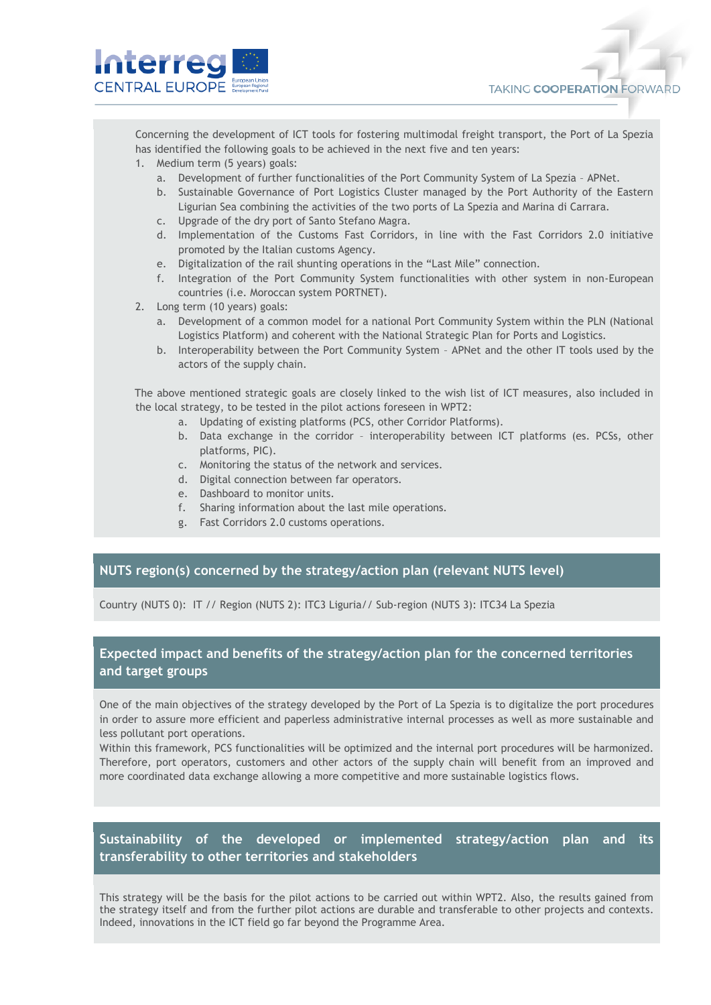

Concerning the development of ICT tools for fostering multimodal freight transport, the Port of La Spezia has identified the following goals to be achieved in the next five and ten years:

- 1. Medium term (5 years) goals:
	- a. Development of further functionalities of the Port Community System of La Spezia APNet.
	- b. Sustainable Governance of Port Logistics Cluster managed by the Port Authority of the Eastern Ligurian Sea combining the activities of the two ports of La Spezia and Marina di Carrara.
	- c. Upgrade of the dry port of Santo Stefano Magra.
	- d. Implementation of the Customs Fast Corridors, in line with the Fast Corridors 2.0 initiative promoted by the Italian customs Agency.
	- e. Digitalization of the rail shunting operations in the "Last Mile" connection.
	- f. Integration of the Port Community System functionalities with other system in non-European countries (i.e. Moroccan system PORTNET).
- 2. Long term (10 years) goals:
	- a. Development of a common model for a national Port Community System within the PLN (National Logistics Platform) and coherent with the National Strategic Plan for Ports and Logistics.
	- b. Interoperability between the Port Community System APNet and the other IT tools used by the actors of the supply chain.

The above mentioned strategic goals are closely linked to the wish list of ICT measures, also included in the local strategy, to be tested in the pilot actions foreseen in WPT2:

- a. Updating of existing platforms (PCS, other Corridor Platforms).
- b. Data exchange in the corridor interoperability between ICT platforms (es. PCSs, other platforms, PIC).
- c. Monitoring the status of the network and services.
- d. Digital connection between far operators.
- e. Dashboard to monitor units.
- f. Sharing information about the last mile operations.
- g. Fast Corridors 2.0 customs operations.

#### **NUTS region(s) concerned by the strategy/action plan (relevant NUTS level)**

Country (NUTS 0): IT // Region (NUTS 2): ITC3 Liguria// Sub-region (NUTS 3): ITC34 La Spezia

### **Expected impact and benefits of the strategy/action plan for the concerned territories and target groups**

One of the main objectives of the strategy developed by the Port of La Spezia is to digitalize the port procedures in order to assure more efficient and paperless administrative internal processes as well as more sustainable and less pollutant port operations.

Within this framework, PCS functionalities will be optimized and the internal port procedures will be harmonized. Therefore, port operators, customers and other actors of the supply chain will benefit from an improved and more coordinated data exchange allowing a more competitive and more sustainable logistics flows.

### **Sustainability of the developed or implemented strategy/action plan and its transferability to other territories and stakeholders**

This strategy will be the basis for the pilot actions to be carried out within WPT2. Also, the results gained from the strategy itself and from the further pilot actions are durable and transferable to other projects and contexts. Indeed, innovations in the ICT field go far beyond the Programme Area.